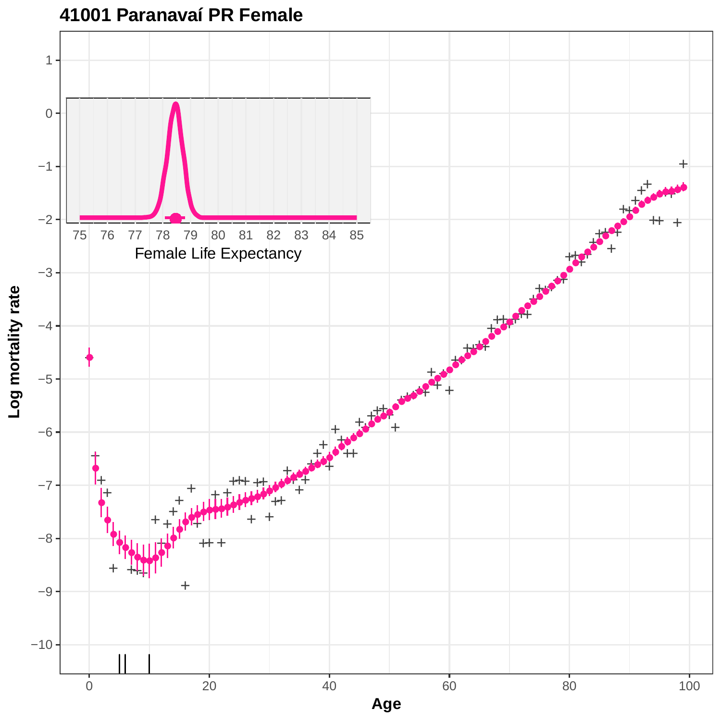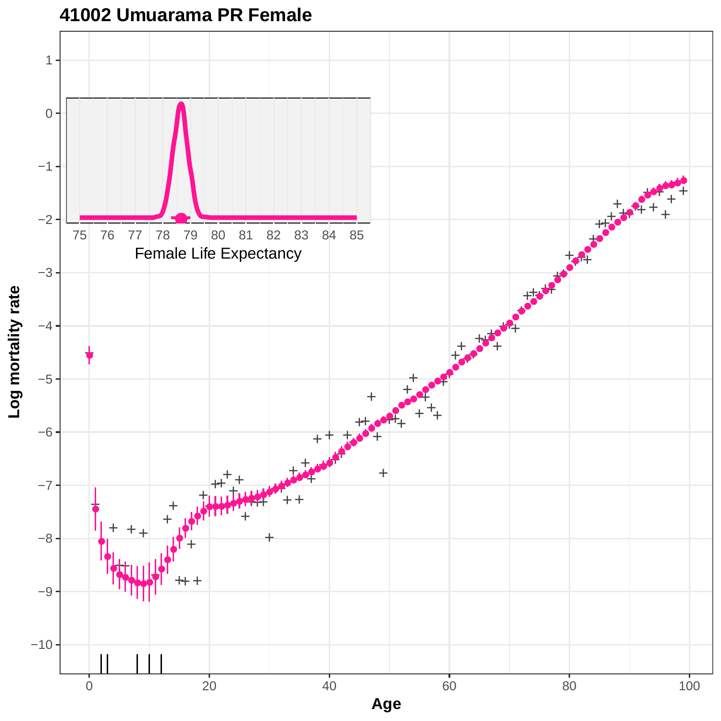

#### **41002 Umuarama PR Female**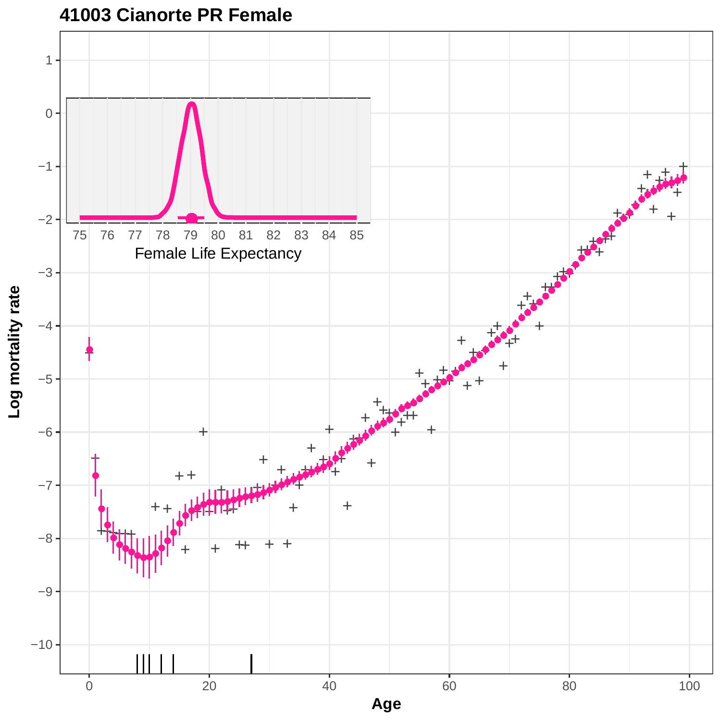

**41003 Cianorte PR Female**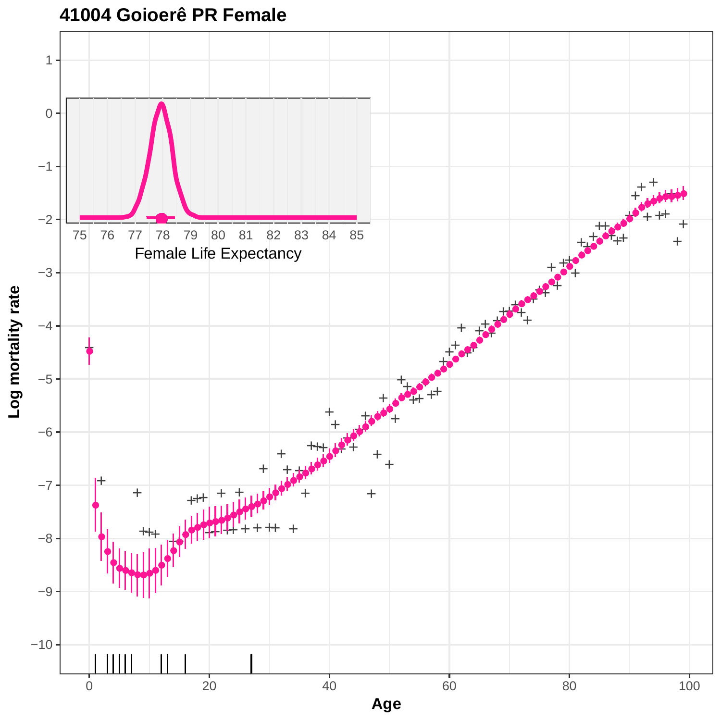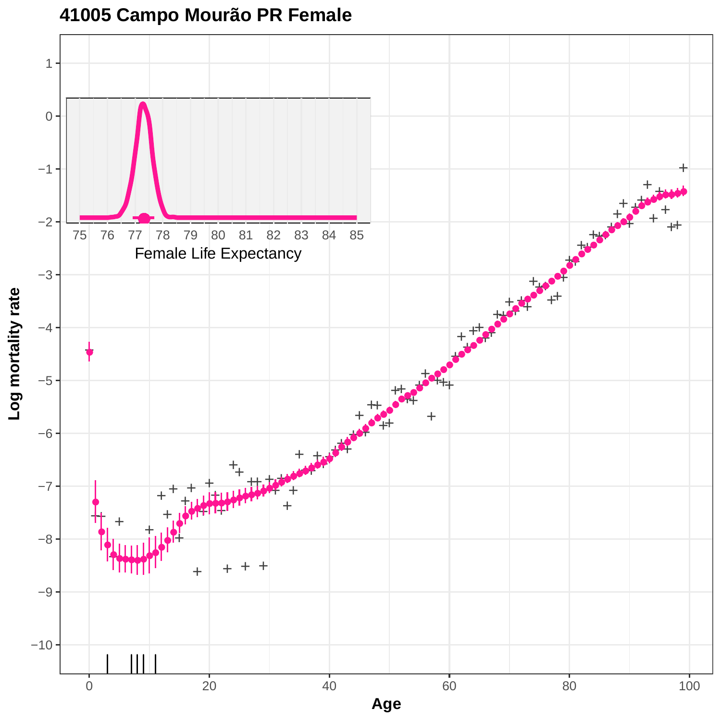

## **41005 Campo Mourão PR Female**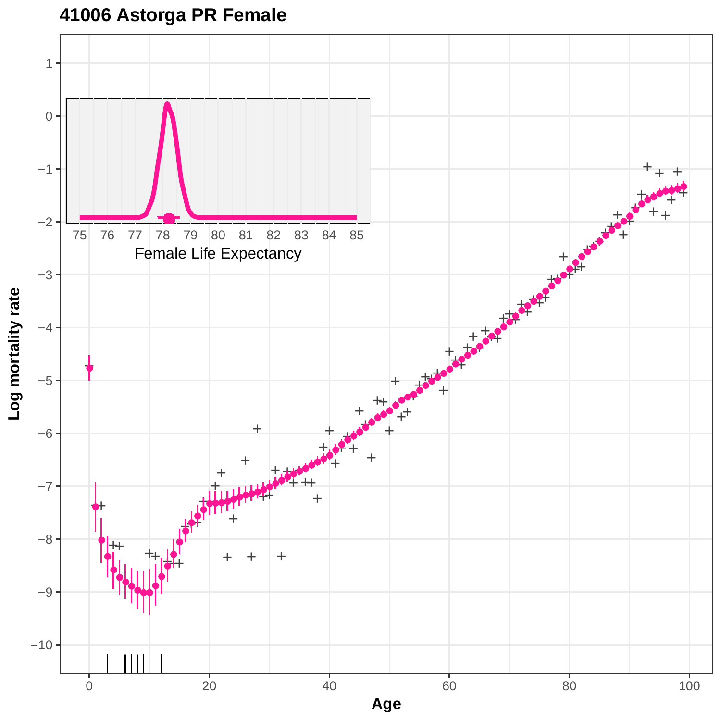## **41006 Astorga PR Female**

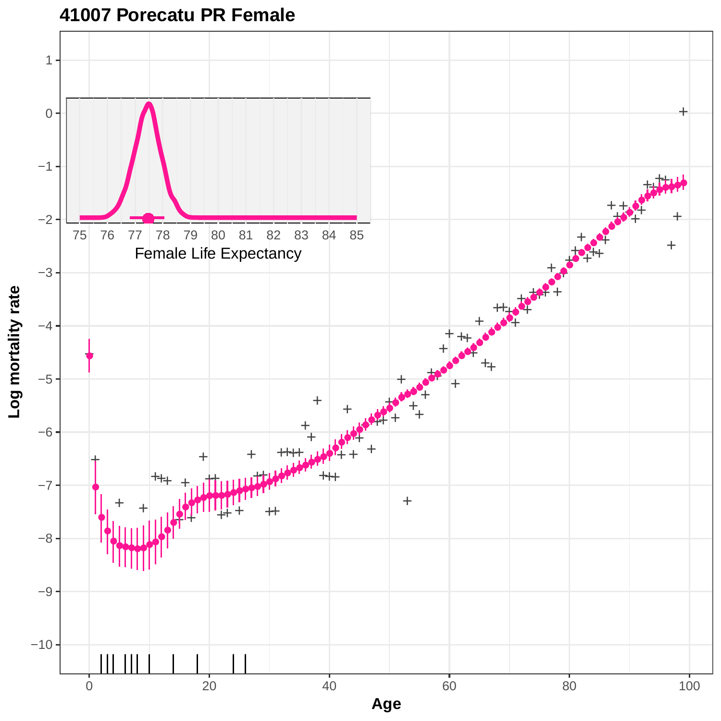

## **41007 Porecatu PR Female**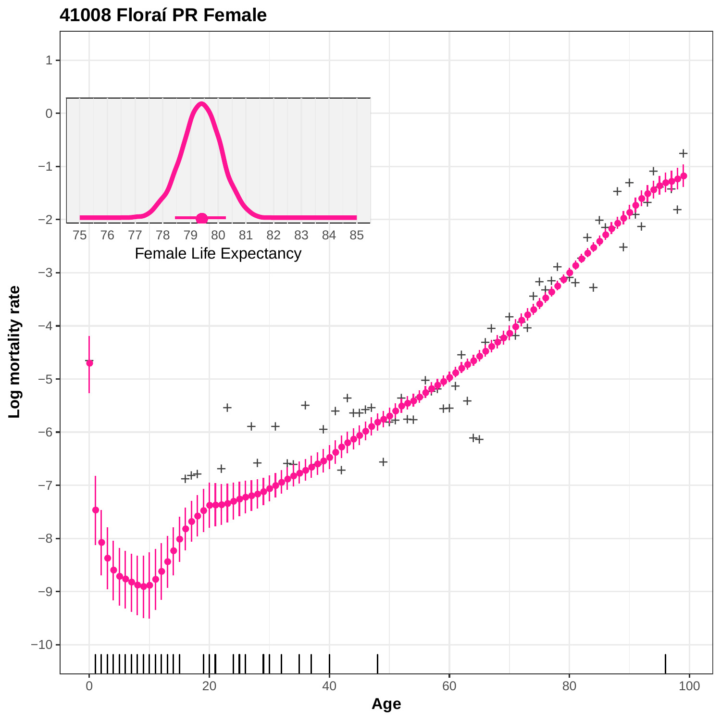

## **41008 Floraí PR Female**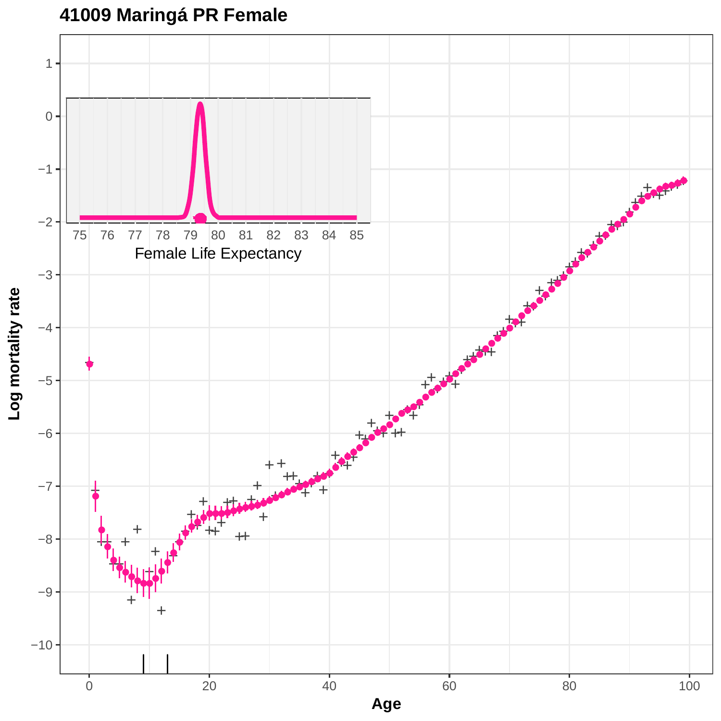# **41009 Maringá PR Female**

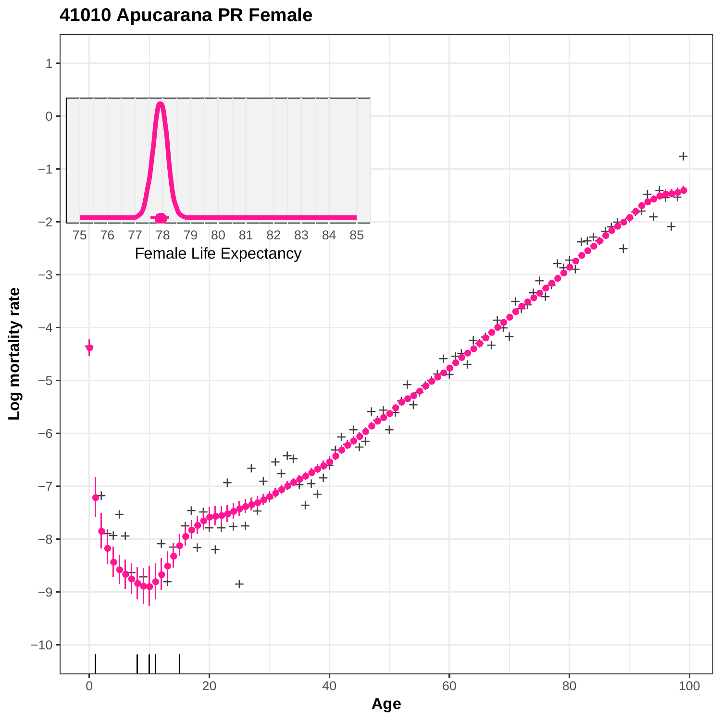

## **41010 Apucarana PR Female**

0 20 20 40 60 80 80 100 **Age**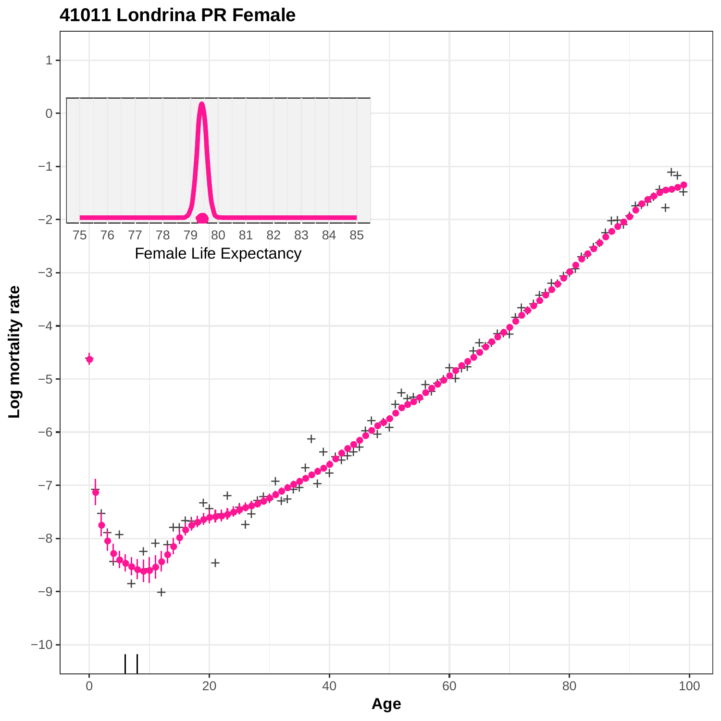

## **41011 Londrina PR Female**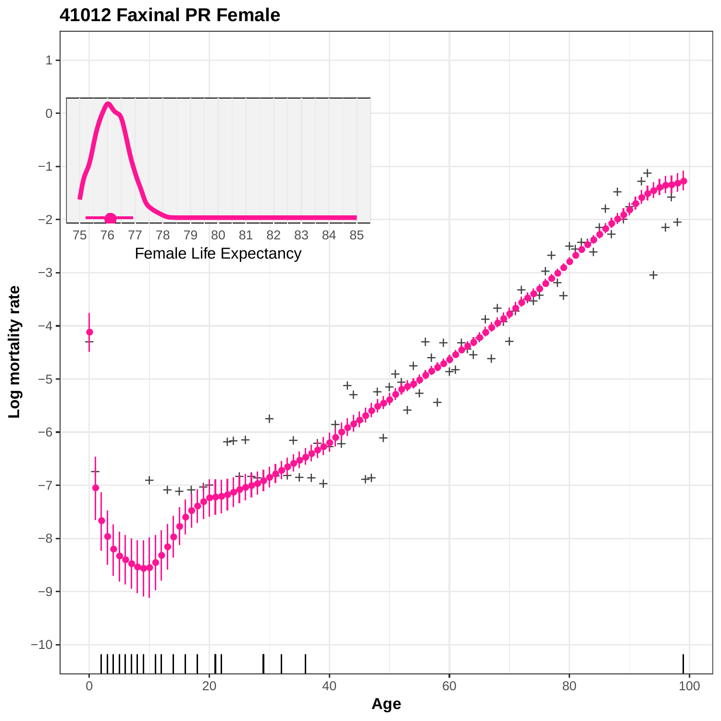

**41012 Faxinal PR Female**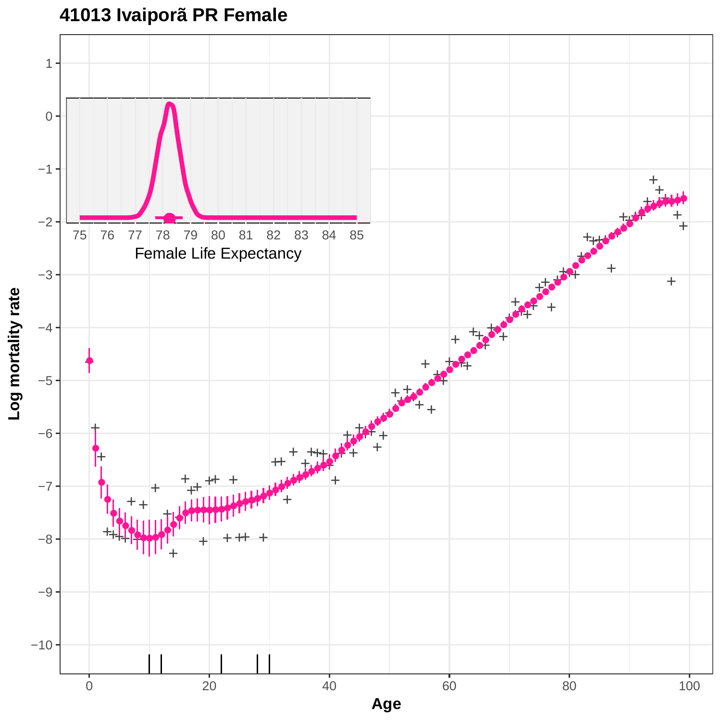

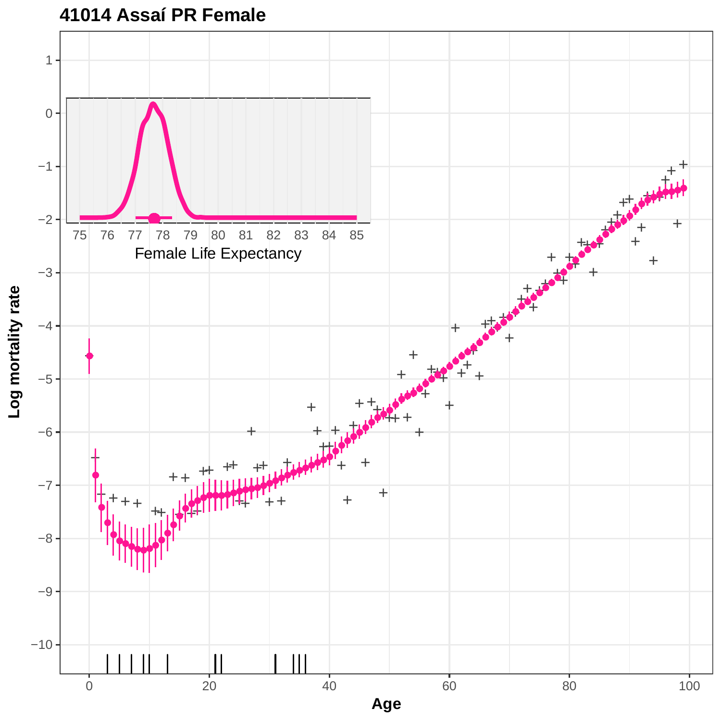

## **41014 Assaí PR Female**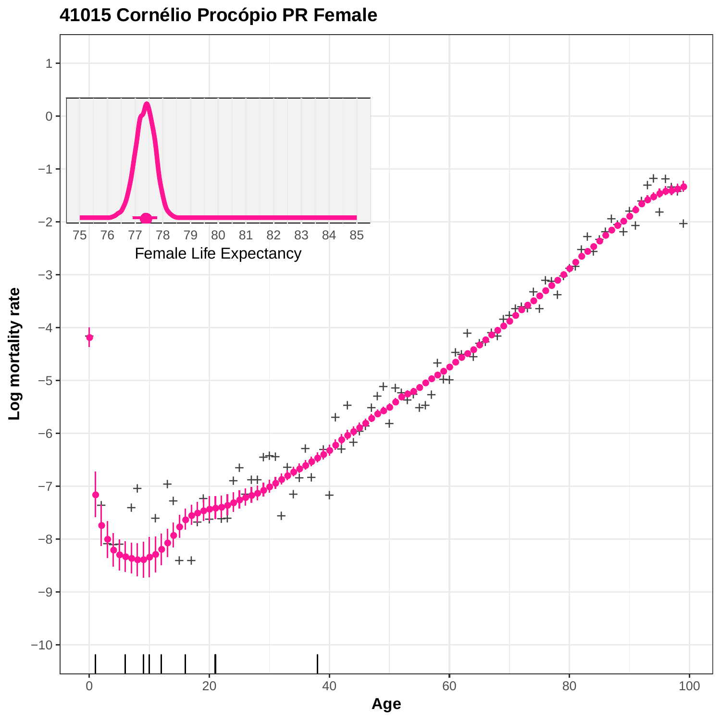

## **41015 Cornélio Procópio PR Female**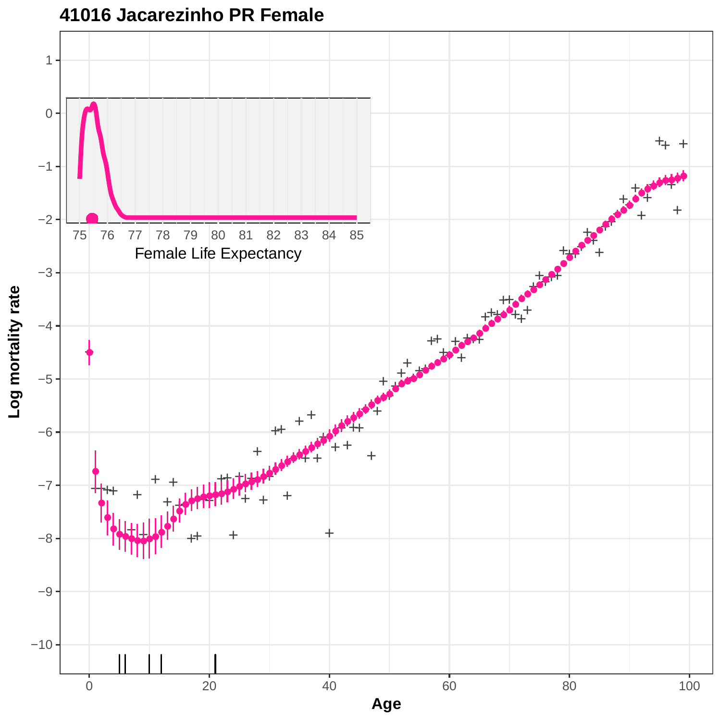

### **41016 Jacarezinho PR Female**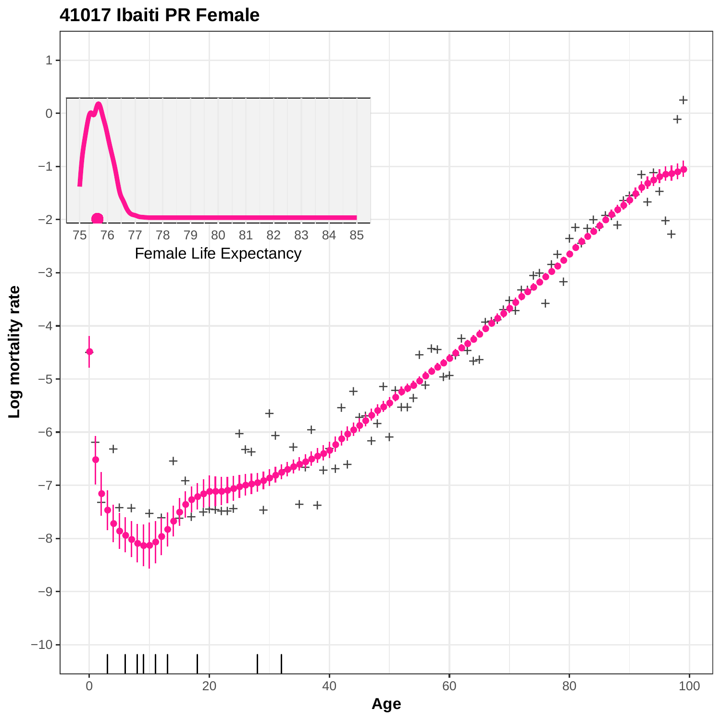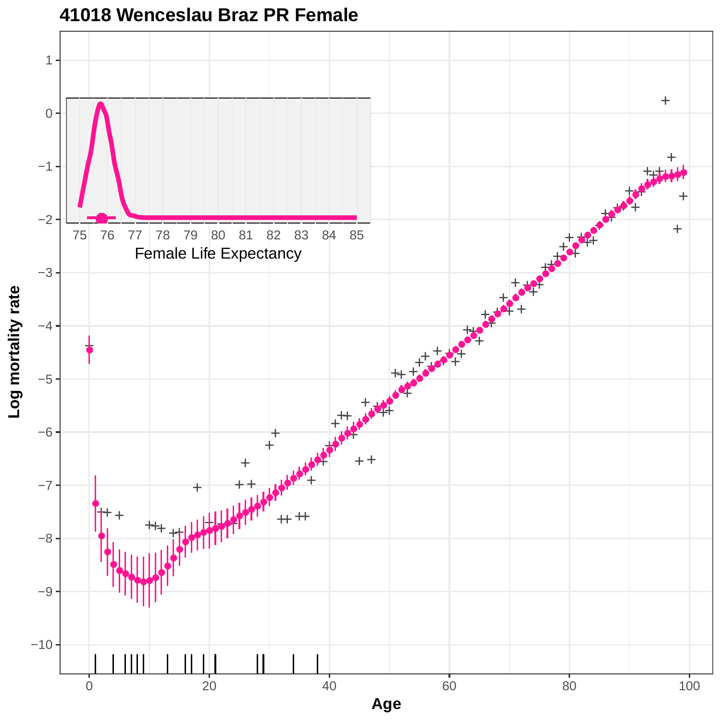

#### **41018 Wenceslau Braz PR Female**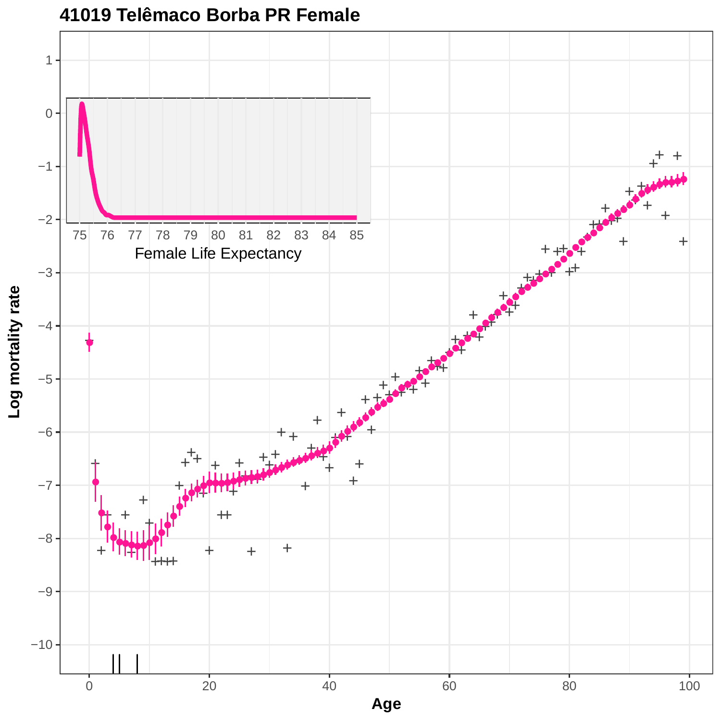

#### **41019 Telêmaco Borba PR Female**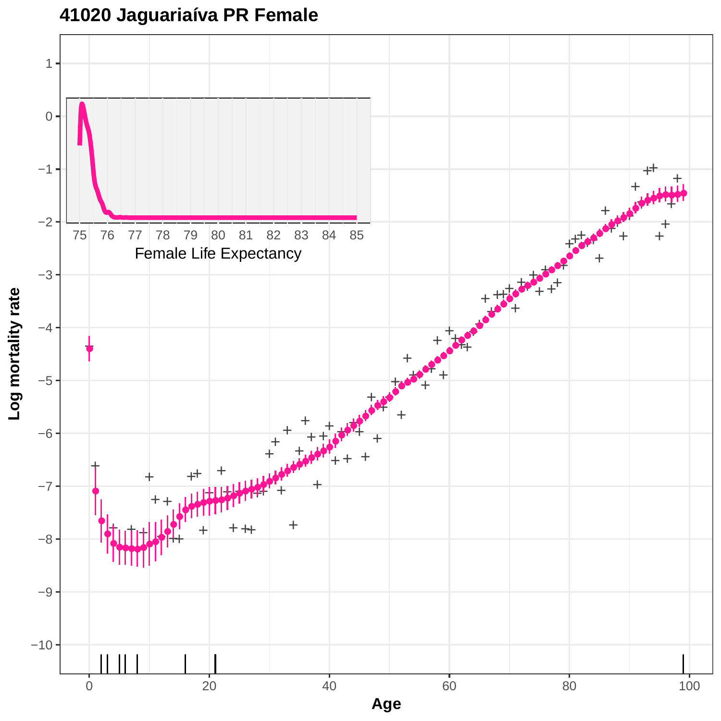# **41020 Jaguariaíva PR Female**

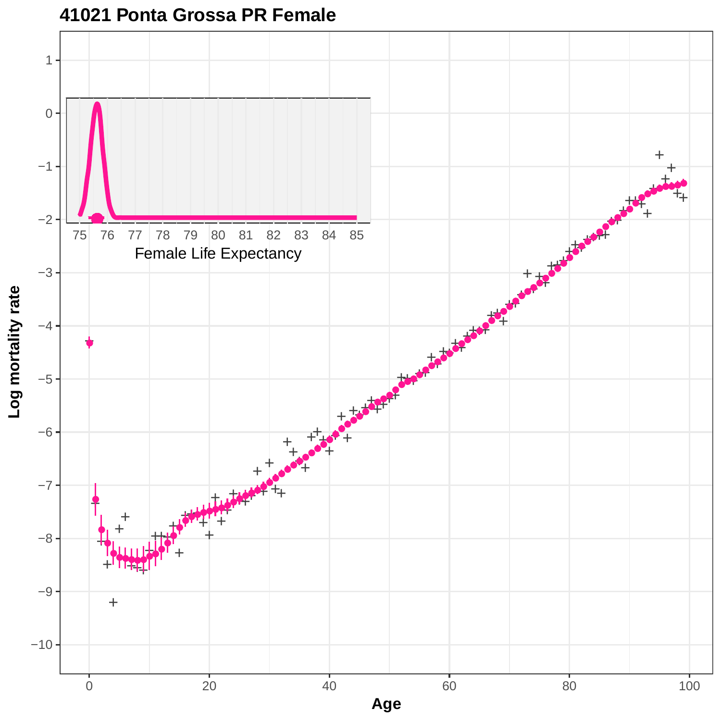

#### **41021 Ponta Grossa PR Female**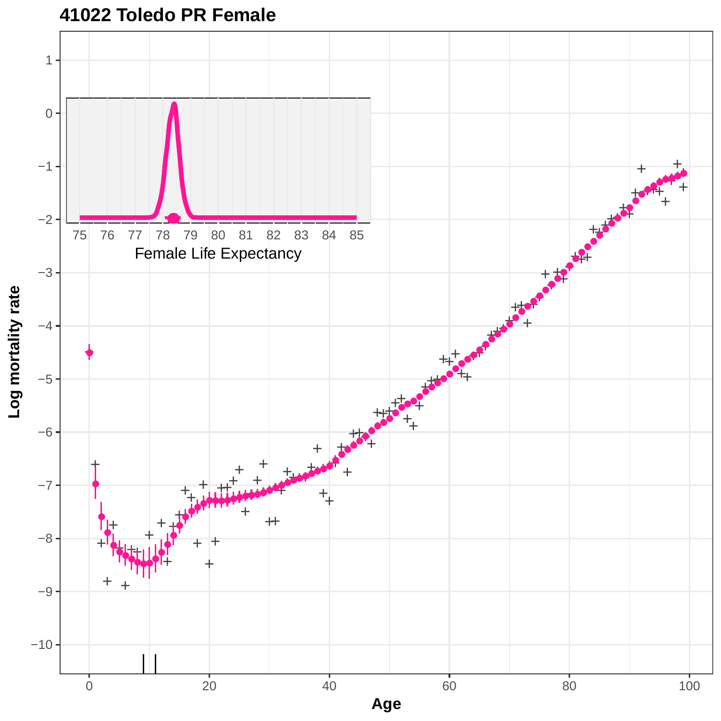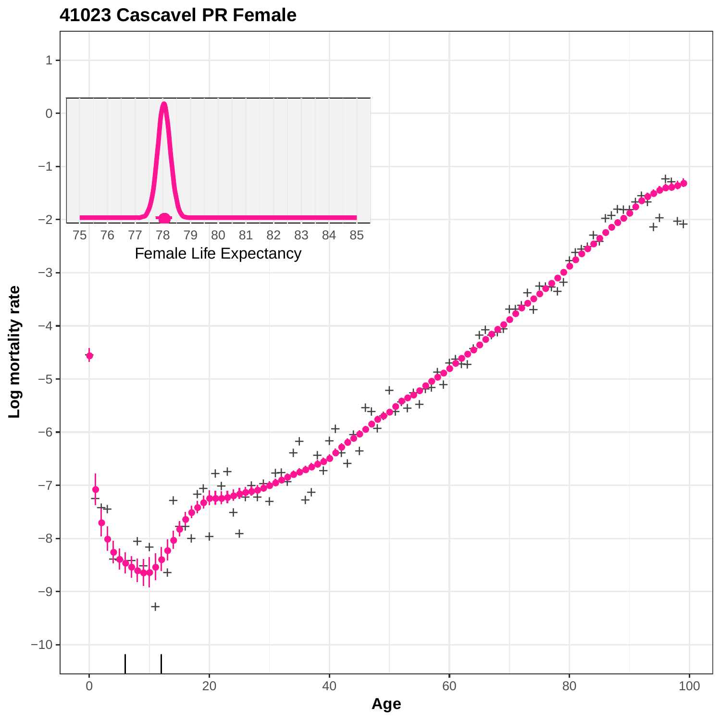

## **41023 Cascavel PR Female**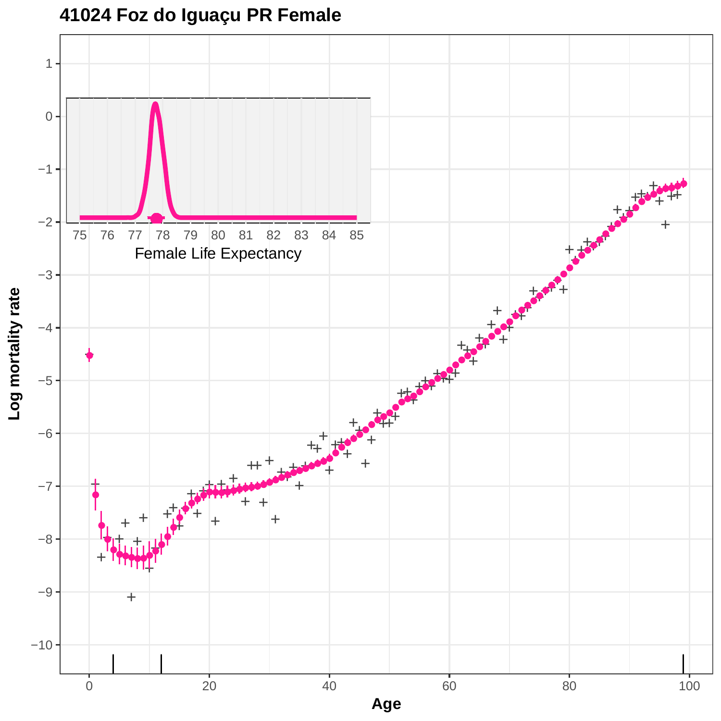

## **41024 Foz do Iguaçu PR Female**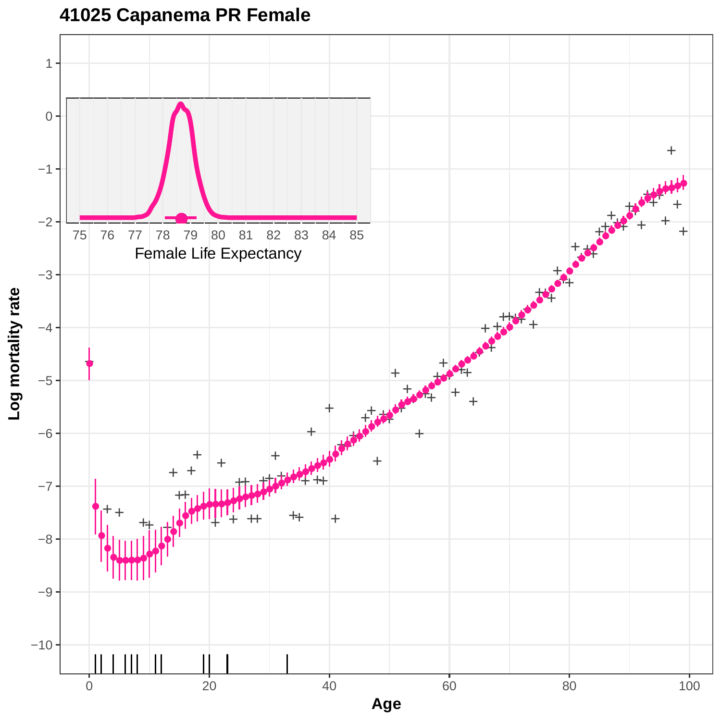

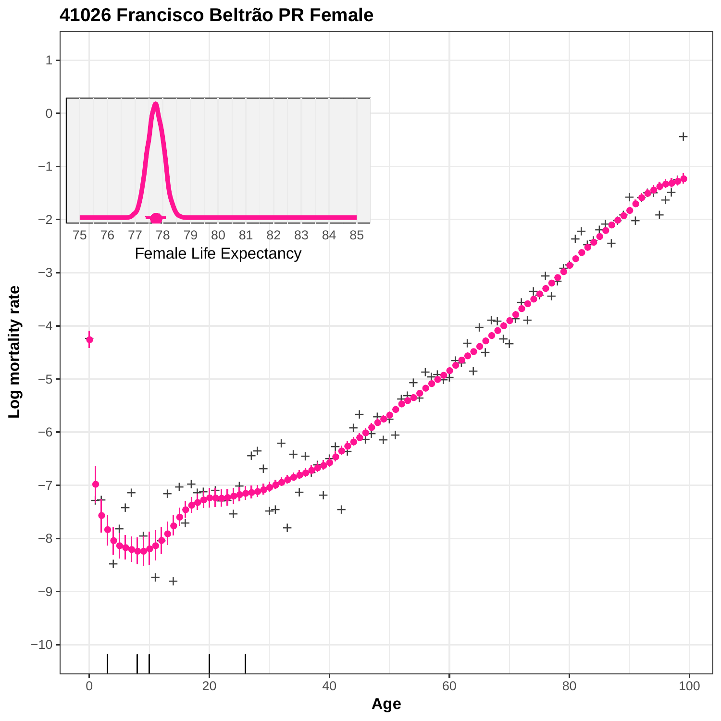

**41026 Francisco Beltrão PR Female**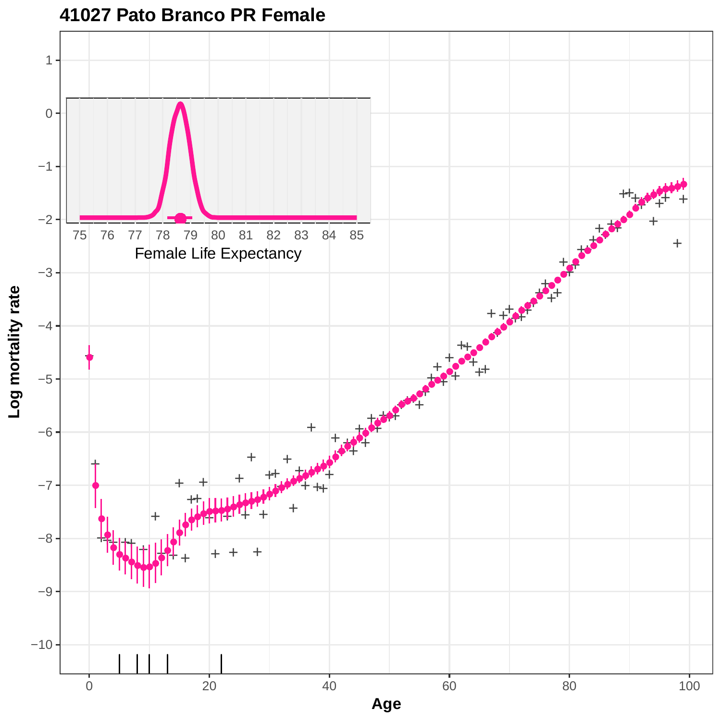

**41027 Pato Branco PR Female**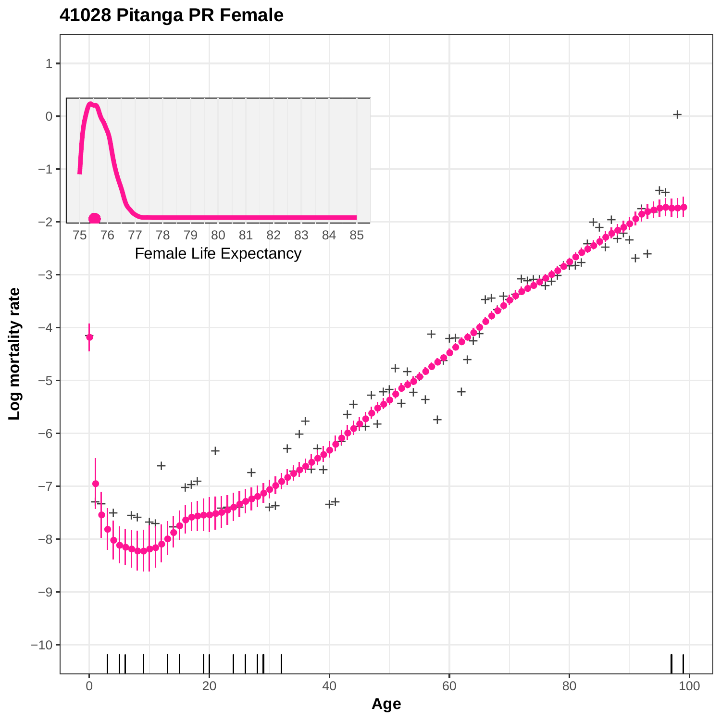## **41028 Pitanga PR Female**

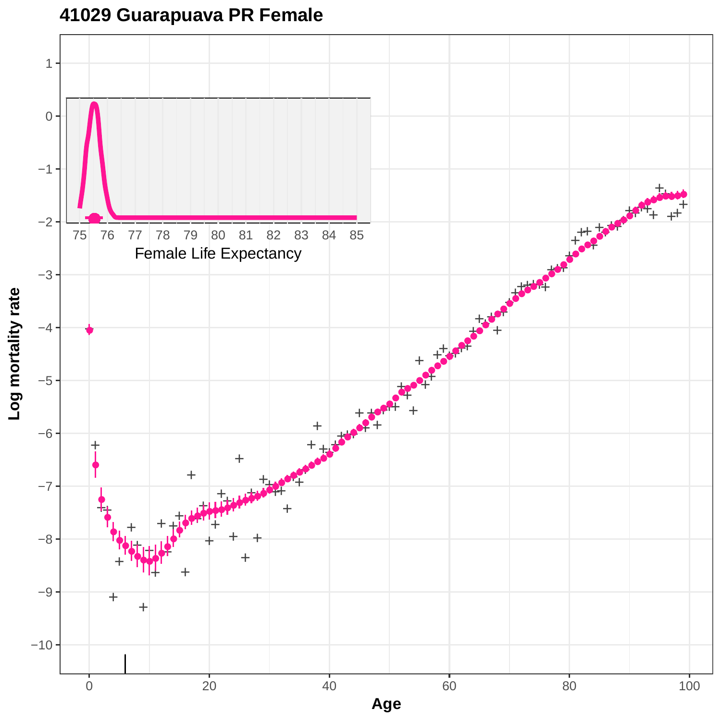## **41029 Guarapuava PR Female**

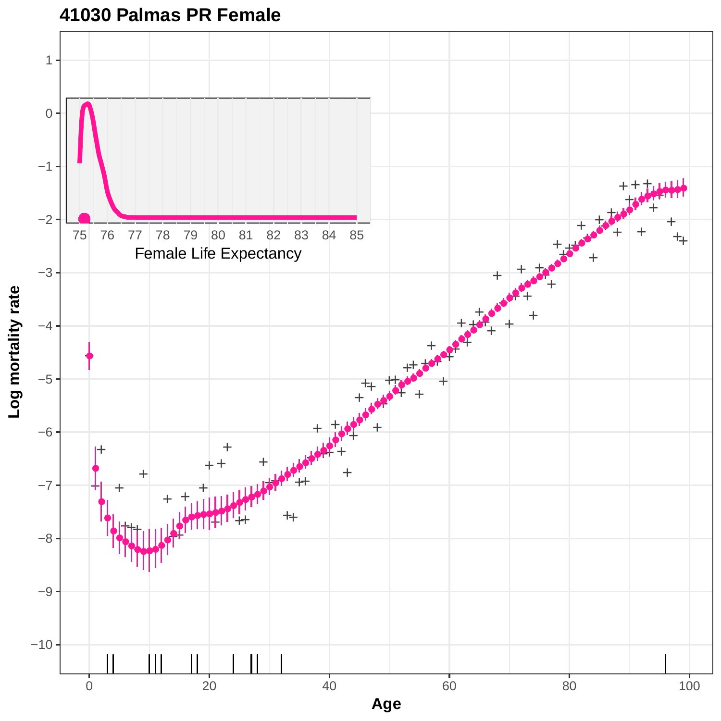

**41030 Palmas PR Female**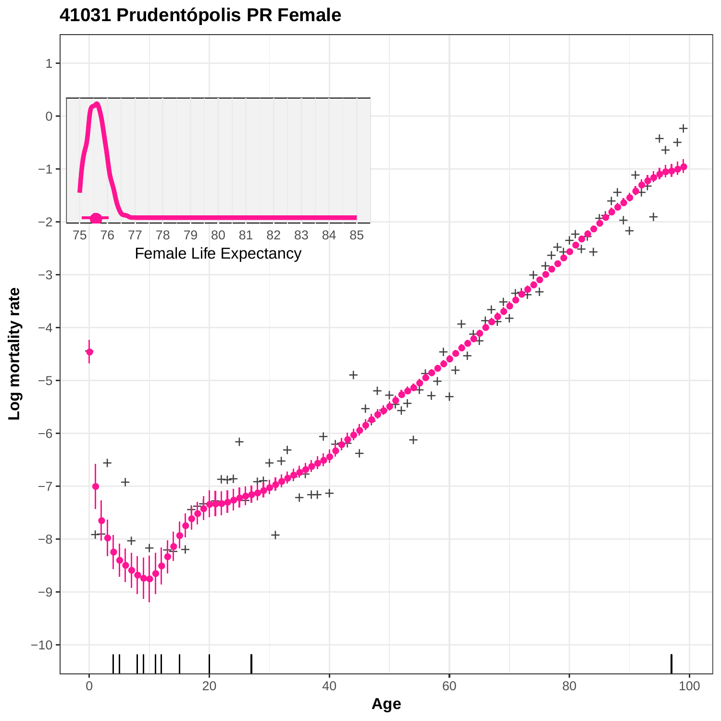

# **41031 Prudentópolis PR Female**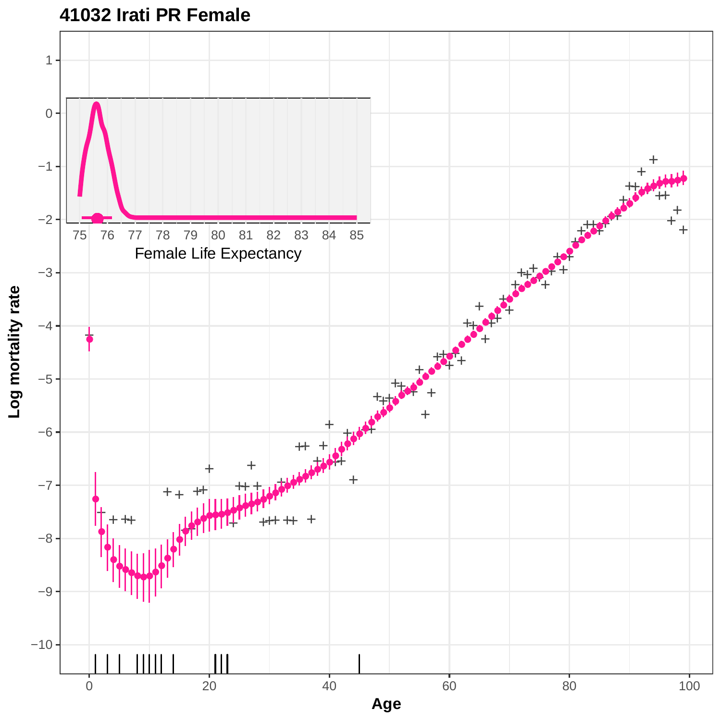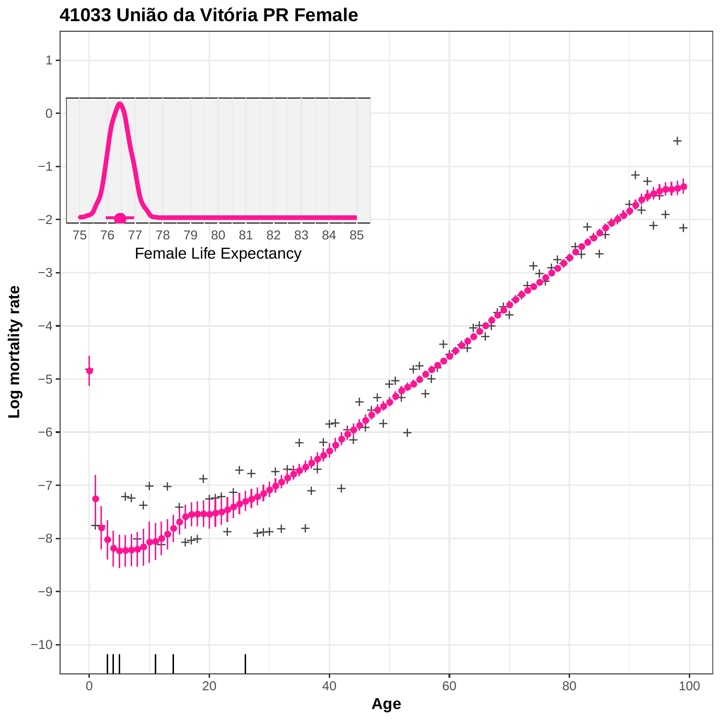

**41033 União da Vitória PR Female**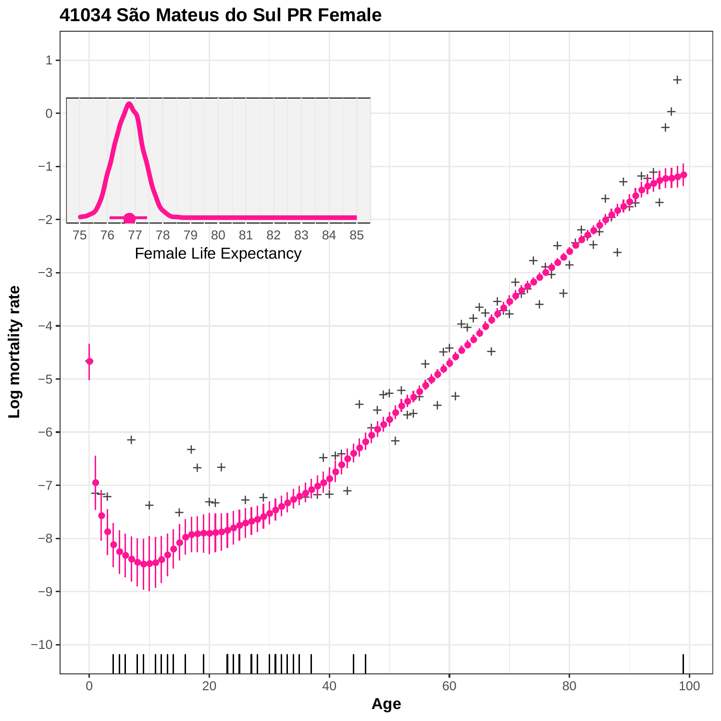

#### **41034 São Mateus do Sul PR Female**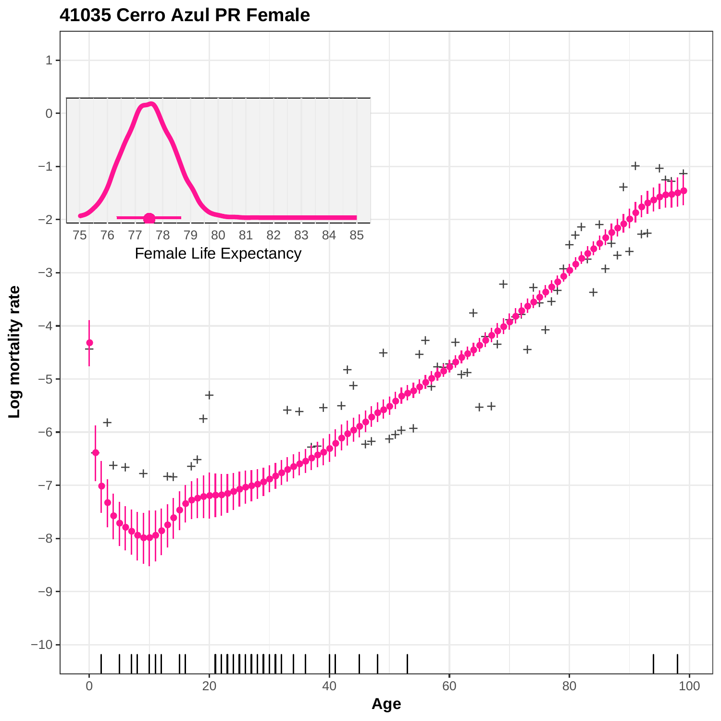

**41035 Cerro Azul PR Female**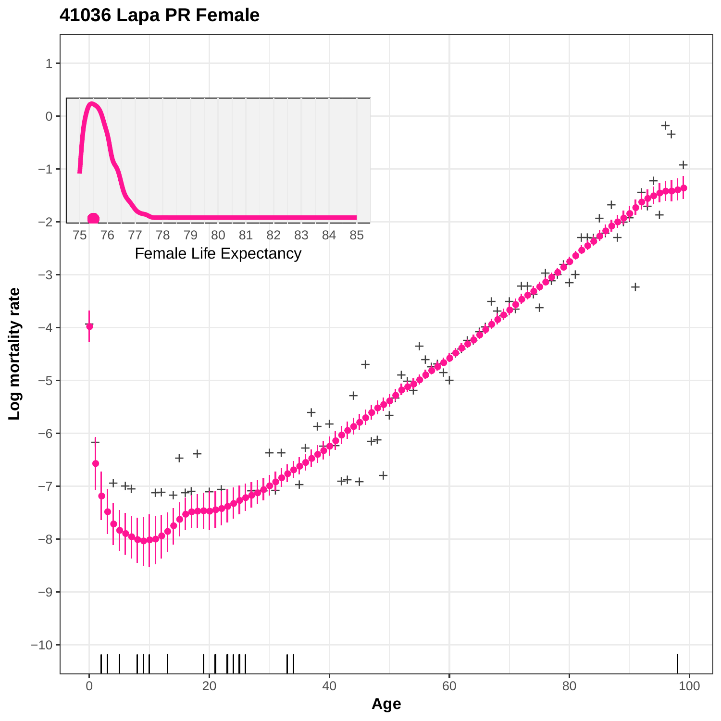# **41036 Lapa PR Female**

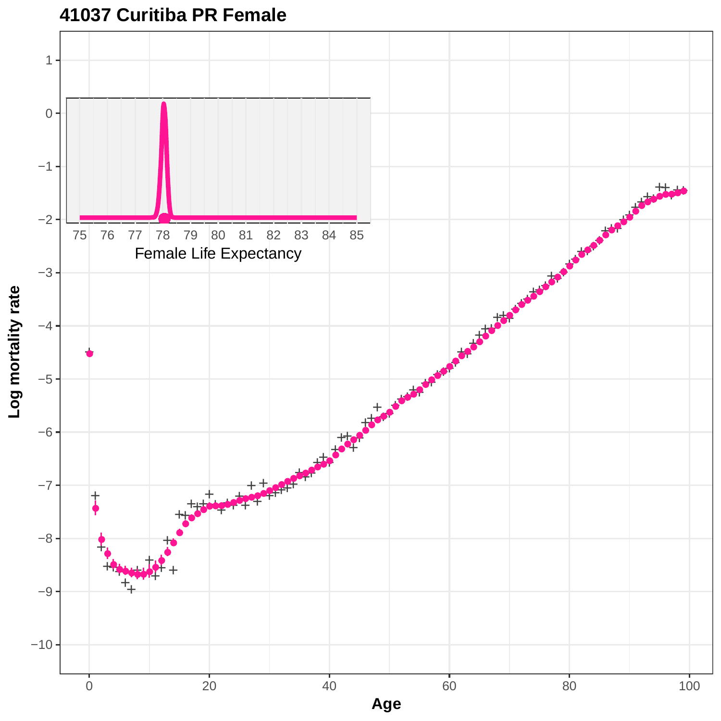

**41037 Curitiba PR Female**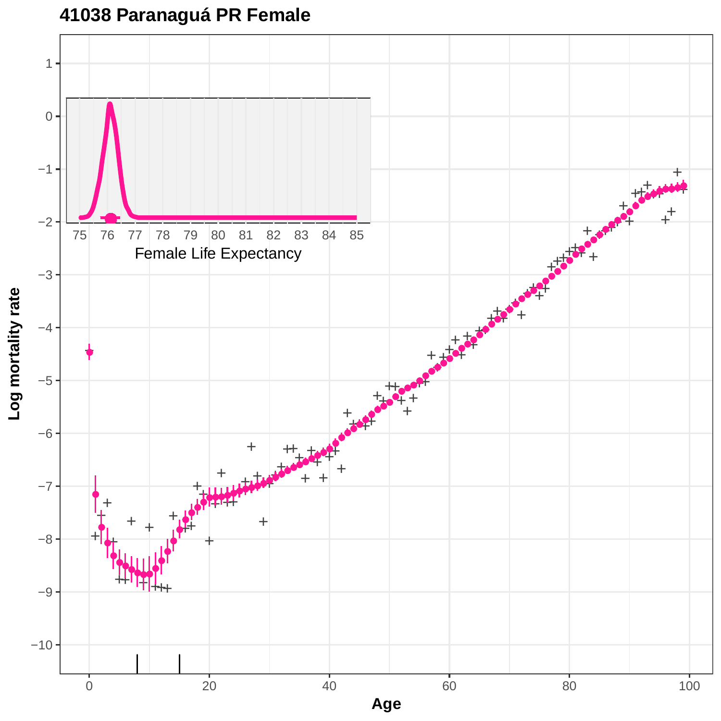## **41038 Paranaguá PR Female**